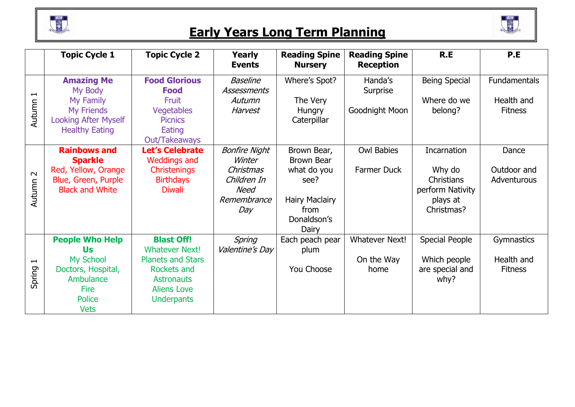

## **Early Years Long Term Planning**



|                                                   | <b>Topic Cycle 1</b>                                                                               | <b>Topic Cycle 2</b>                                                                                           | Yearly<br><b>Events</b>                                | <b>Reading Spine</b><br><b>Nursery</b>                                       | <b>Reading Spine</b><br><b>Reception</b> | R.E                                                                | P.E                               |
|---------------------------------------------------|----------------------------------------------------------------------------------------------------|----------------------------------------------------------------------------------------------------------------|--------------------------------------------------------|------------------------------------------------------------------------------|------------------------------------------|--------------------------------------------------------------------|-----------------------------------|
| $\mathbf{\mathbf{\mathbf{\mathsf{H}}}}$<br>Autumn | <b>Amazing Me</b><br>My Body<br>My Family                                                          | <b>Food Glorious</b><br><b>Food</b><br>Fruit                                                                   | <b>Baseline</b><br>Assessments<br>Autumn               | Where's Spot?<br>The Very                                                    | Handa's<br>Surprise                      | <b>Being Special</b><br>Where do we                                | <b>Fundamentals</b><br>Health and |
|                                                   | <b>My Friends</b><br><b>Looking After Myself</b><br><b>Healthy Eating</b>                          | <b>Vegetables</b><br><b>Picnics</b><br>Eating<br>Out/Takeaways                                                 | Harvest                                                | Hungry<br>Caterpillar                                                        | Goodnight Moon                           | belong?                                                            | <b>Fitness</b>                    |
|                                                   | <b>Rainbows and</b><br><b>Sparkle</b>                                                              | <b>Let's Celebrate</b><br><b>Weddings and</b>                                                                  | <b>Bonfire Night</b><br>Winter                         | Brown Bear,<br><b>Brown Bear</b>                                             | <b>Owl Babies</b>                        | Incarnation                                                        | Dance                             |
| $\boldsymbol{\sim}$<br>Autumn                     | Red, Yellow, Orange<br>Blue, Green, Purple<br><b>Black and White</b>                               | <b>Christenings</b><br><b>Birthdays</b><br><b>Diwali</b>                                                       | Christmas<br>Children In<br>Need<br>Remembrance<br>Day | what do you<br>see?<br><b>Hairy Maclairy</b><br>from<br>Donaldson's<br>Dairy | Farmer Duck                              | Why do<br>Christians<br>perform Nativity<br>plays at<br>Christmas? | Outdoor and<br>Adventurous        |
|                                                   | <b>People Who Help</b><br>Us                                                                       | <b>Blast Off!</b><br><b>Whatever Next!</b>                                                                     | Spring<br>Valentine's Day                              | Each peach pear<br>plum                                                      | <b>Whatever Next!</b>                    | <b>Special People</b>                                              | Gymnastics                        |
| $\mathbf{\mathbf{\mathbf{\mathsf{H}}}}$<br>Spring | <b>My School</b><br>Doctors, Hospital,<br>Ambulance<br><b>Fire</b><br><b>Police</b><br><b>Vets</b> | <b>Planets and Stars</b><br><b>Rockets and</b><br><b>Astronauts</b><br><b>Aliens Love</b><br><b>Underpants</b> |                                                        | You Choose                                                                   | On the Way<br>home                       | Which people<br>are special and<br>why?                            | Health and<br><b>Fitness</b>      |